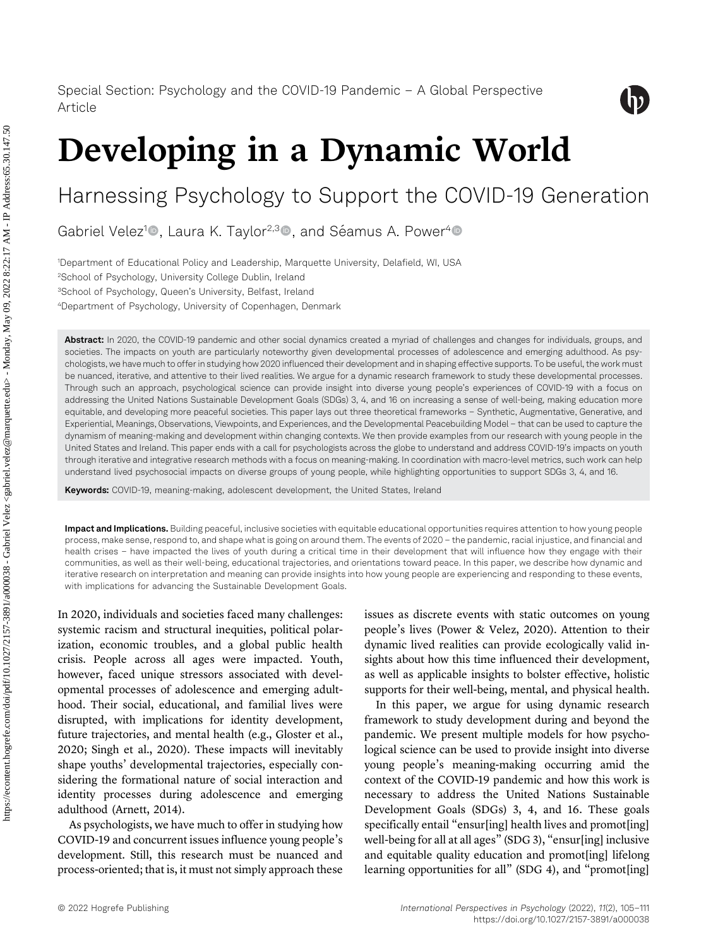

# Developing in a Dynamic World

## Harnessing Psychology to Support the COVID-19 Generation

Gabriel Velez<sup>1</sup>®, Laura K. Taylor<sup>2,3</sup>®, and Séamus A. Power<sup>4</sup>®

 Department of Educational Policy and Leadership, Marquette University, Delafield, WI, USA School of Psychology, University College Dublin, Ireland <sup>3</sup>School of Psychology, Queen's University, Belfast, Ireland Department of Psychology, University of Copenhagen, Denmark

Abstract: In 2020, the COVID-19 pandemic and other social dynamics created a myriad of challenges and changes for individuals, groups, and societies. The impacts on youth are particularly noteworthy given developmental processes of adolescence and emerging adulthood. As psychologists, we have much to offer in studying how 2020 influenced their development and in shaping effective supports. To be useful, the work must be nuanced, iterative, and attentive to their lived realities. We argue for a dynamic research framework to study these developmental processes. Through such an approach, psychological science can provide insight into diverse young people's experiences of COVID-19 with a focus on addressing the United Nations Sustainable Development Goals (SDGs) 3, 4, and 16 on increasing a sense of well-being, making education more equitable, and developing more peaceful societies. This paper lays out three theoretical frameworks – Synthetic, Augmentative, Generative, and Experiential, Meanings, Observations, Viewpoints, and Experiences, and the Developmental Peacebuilding Model – that can be used to capture the dynamism of meaning-making and development within changing contexts. We then provide examples from our research with young people in the United States and Ireland. This paper ends with a call for psychologists across the globe to understand and address COVID-19's impacts on youth through iterative and integrative research methods with a focus on meaning-making. In coordination with macro-level metrics, such work can help understand lived psychosocial impacts on diverse groups of young people, while highlighting opportunities to support SDGs 3, 4, and 16.

Keywords: COVID-19, meaning-making, adolescent development, the United States, Ireland

Impact and Implications. Building peaceful, inclusive societies with equitable educational opportunities requires attention to how young people process, make sense, respond to, and shape what is going on around them. The events of 2020 – the pandemic, racial injustice, and financial and health crises – have impacted the lives of youth during a critical time in their development that will influence how they engage with their communities, as well as their well-being, educational trajectories, and orientations toward peace. In this paper, we describe how dynamic and iterative research on interpretation and meaning can provide insights into how young people are experiencing and responding to these events, with implications for advancing the Sustainable Development Goals.

In 2020, individuals and societies faced many challenges: systemic racism and structural inequities, political polarization, economic troubles, and a global public health crisis. People across all ages were impacted. Youth, however, faced unique stressors associated with developmental processes of adolescence and emerging adulthood. Their social, educational, and familial lives were disrupted, with implications for identity development, future trajectories, and mental health (e.g., [Gloster et al.,](#page-5-0) [2020;](#page-5-0) [Singh et al., 2020](#page-6-0)). These impacts will inevitably shape youths' developmental trajectories, especially considering the formational nature of social interaction and identity processes during adolescence and emerging adulthood ([Arnett, 2014\)](#page-5-1).

As psychologists, we have much to offer in studying how COVID-19 and concurrent issues influence young people's development. Still, this research must be nuanced and process-oriented; that is, it must not simply approach these issues as discrete events with static outcomes on young people's lives [\(Power & Velez, 2020](#page-5-2)). Attention to their dynamic lived realities can provide ecologically valid insights about how this time influenced their development, as well as applicable insights to bolster effective, holistic supports for their well-being, mental, and physical health.

In this paper, we argue for using dynamic research framework to study development during and beyond the pandemic. We present multiple models for how psychological science can be used to provide insight into diverse young people's meaning-making occurring amid the context of the COVID-19 pandemic and how this work is necessary to address the United Nations Sustainable Development Goals (SDGs) 3, 4, and 16. These goals specifically entail "ensur[ing] health lives and promot[ing] well-being for all at all ages" (SDG 3), "ensur[ing] inclusive and equitable quality education and promot[ing] lifelong learning opportunities for all" (SDG 4), and "promot[ing]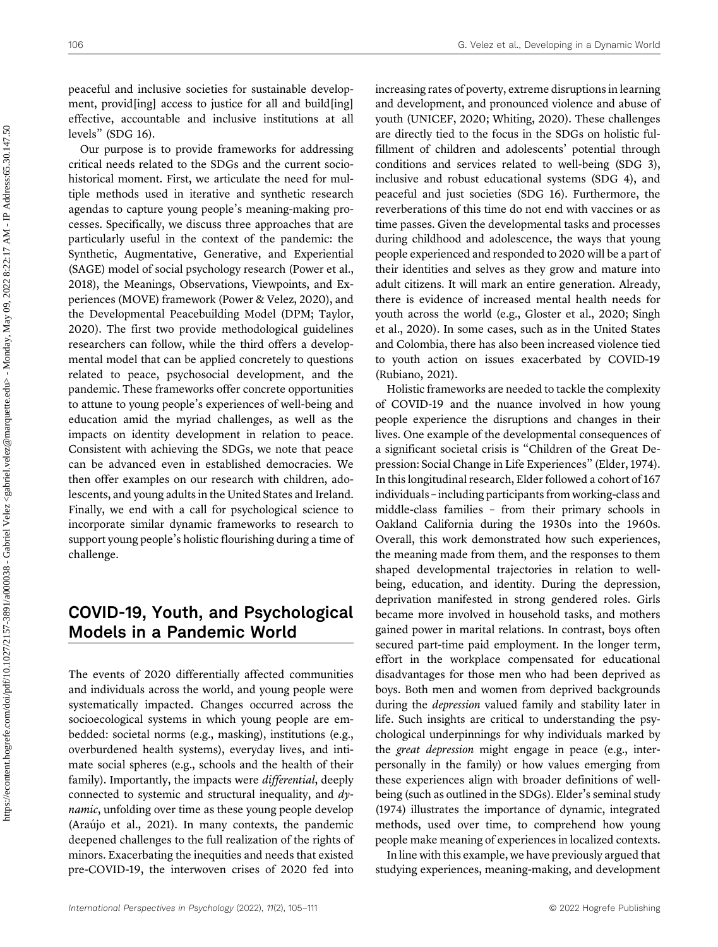peaceful and inclusive societies for sustainable development, provides access to justice for all and build [ing] effective, accountable and inclusive institutions at all levels" (SDG 16).

Our purpose is to provide frameworks for addressing critical needs related to the SDGs and the current sociohistorical moment. First, we articulate the need for multiple methods used in iterative and synthetic research agendas to capture young people's meaning-making processes. Specifically, we discuss three approaches that are particularly useful in the context of the pandemic: the Synthetic, Augmentative, Generative, and Experiential (SAGE) model of social psychology research ([Power et al.,](#page-5-3) [2018\)](#page-5-3), the Meanings, Observations, Viewpoints, and Experiences (MOVE) framework [\(Power & Velez, 2020](#page-5-2)), and the Developmental Peacebuilding Model (DPM; [Taylor,](#page-6-1) [2020\)](#page-6-1). The first two provide methodological guidelines researchers can follow, while the third offers a developmental model that can be applied concretely to questions related to peace, psychosocial development, and the pandemic. These frameworks offer concrete opportunities to attune to young people's experiences of well-being and education amid the myriad challenges, as well as the impacts on identity development in relation to peace. Consistent with achieving the SDGs, we note that peace can be advanced even in established democracies. We then offer examples on our research with children, adolescents, and young adults in the United States and Ireland. Finally, we end with a call for psychological science to incorporate similar dynamic frameworks to research to support young people's holistic flourishing during a time of challenge.

## COVID-19, Youth, and Psychological Models in a Pandemic World

The events of 2020 differentially affected communities and individuals across the world, and young people were systematically impacted. Changes occurred across the socioecological systems in which young people are embedded: societal norms (e.g., masking), institutions (e.g., overburdened health systems), everyday lives, and intimate social spheres (e.g., schools and the health of their family). Importantly, the impacts were *differential*, deeply connected to systemic and structural inequality, and dynamic, unfolding over time as these young people develop ([Araujo et al., 2021\)](#page-5-4). In many contexts, the pandemic ´ deepened challenges to the full realization of the rights of minors. Exacerbating the inequities and needs that existed pre-COVID-19, the interwoven crises of 2020 fed into

increasing rates of poverty, extreme disruptions in learning and development, and pronounced violence and abuse of youth [\(UNICEF, 2020](#page-6-2); [Whiting, 2020](#page-6-3)). These challenges are directly tied to the focus in the SDGs on holistic fulfillment of children and adolescents' potential through conditions and services related to well-being (SDG 3), inclusive and robust educational systems (SDG 4), and peaceful and just societies (SDG 16). Furthermore, the reverberations of this time do not end with vaccines or as time passes. Given the developmental tasks and processes during childhood and adolescence, the ways that young people experienced and responded to 2020 will be a part of their identities and selves as they grow and mature into adult citizens. It will mark an entire generation. Already, there is evidence of increased mental health needs for youth across the world (e.g., [Gloster et al., 2020;](#page-5-0) [Singh](#page-6-0) [et al., 2020](#page-6-0)). In some cases, such as in the United States and Colombia, there has also been increased violence tied to youth action on issues exacerbated by COVID-19 [\(Rubiano, 2021\)](#page-5-5).

Holistic frameworks are needed to tackle the complexity of COVID-19 and the nuance involved in how young people experience the disruptions and changes in their lives. One example of the developmental consequences of a significant societal crisis is "Children of the Great Depression: Social Change in Life Experiences" [\(Elder, 1974](#page-5-6)). In this longitudinal research, Elder followed a cohort of 167 individuals – including participants from working-class and middle-class families – from their primary schools in Oakland California during the 1930s into the 1960s. Overall, this work demonstrated how such experiences, the meaning made from them, and the responses to them shaped developmental trajectories in relation to wellbeing, education, and identity. During the depression, deprivation manifested in strong gendered roles. Girls became more involved in household tasks, and mothers gained power in marital relations. In contrast, boys often secured part-time paid employment. In the longer term, effort in the workplace compensated for educational disadvantages for those men who had been deprived as boys. Both men and women from deprived backgrounds during the *depression* valued family and stability later in life. Such insights are critical to understanding the psychological underpinnings for why individuals marked by the great depression might engage in peace (e.g., interpersonally in the family) or how values emerging from these experiences align with broader definitions of wellbeing (such as outlined in the SDGs). Elder's seminal study [\(1974\)](#page-5-6) illustrates the importance of dynamic, integrated methods, used over time, to comprehend how young people make meaning of experiences in localized contexts.

In line with this example, we have previously argued that studying experiences, meaning-making, and development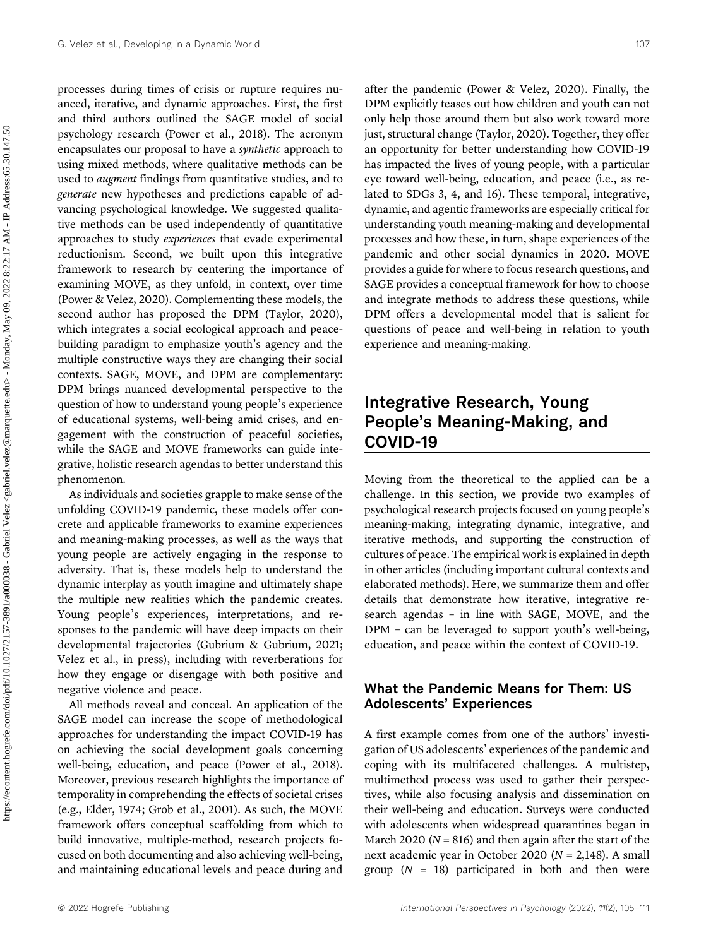processes during times of crisis or rupture requires nuanced, iterative, and dynamic approaches. First, the first and third authors outlined the SAGE model of social psychology research ([Power et al., 2018](#page-5-3)). The acronym encapsulates our proposal to have a synthetic approach to using mixed methods, where qualitative methods can be used to augment findings from quantitative studies, and to generate new hypotheses and predictions capable of advancing psychological knowledge. We suggested qualitative methods can be used independently of quantitative approaches to study experiences that evade experimental reductionism. Second, we built upon this integrative framework to research by centering the importance of examining MOVE, as they unfold, in context, over time ([Power & Velez, 2020](#page-5-2)). Complementing these models, the second author has proposed the DPM ([Taylor, 2020\)](#page-6-1), which integrates a social ecological approach and peacebuilding paradigm to emphasize youth's agency and the multiple constructive ways they are changing their social contexts. SAGE, MOVE, and DPM are complementary: DPM brings nuanced developmental perspective to the question of how to understand young people's experience of educational systems, well-being amid crises, and engagement with the construction of peaceful societies, while the SAGE and MOVE frameworks can guide integrative, holistic research agendas to better understand this phenomenon.

As individuals and societies grapple to make sense of the unfolding COVID-19 pandemic, these models offer concrete and applicable frameworks to examine experiences and meaning-making processes, as well as the ways that young people are actively engaging in the response to adversity. That is, these models help to understand the dynamic interplay as youth imagine and ultimately shape the multiple new realities which the pandemic creates. Young people's experiences, interpretations, and responses to the pandemic will have deep impacts on their developmental trajectories ([Gubrium & Gubrium, 2021;](#page-5-7) [Velez et al., in press](#page-6-4)), including with reverberations for how they engage or disengage with both positive and negative violence and peace.

All methods reveal and conceal. An application of the SAGE model can increase the scope of methodological approaches for understanding the impact COVID-19 has on achieving the social development goals concerning well-being, education, and peace ([Power et al., 2018\)](#page-5-3). Moreover, previous research highlights the importance of temporality in comprehending the effects of societal crises (e.g., [Elder, 1974;](#page-5-6) [Grob et al., 2001\)](#page-5-8). As such, the MOVE framework offers conceptual scaffolding from which to build innovative, multiple-method, research projects focused on both documenting and also achieving well-being, and maintaining educational levels and peace during and

after the pandemic [\(Power & Velez, 2020\)](#page-5-2). Finally, the DPM explicitly teases out how children and youth can not only help those around them but also work toward more just, structural change [\(Taylor, 2020](#page-6-1)). Together, they offer an opportunity for better understanding how COVID-19 has impacted the lives of young people, with a particular eye toward well-being, education, and peace (i.e., as related to SDGs 3, 4, and 16). These temporal, integrative, dynamic, and agentic frameworks are especially critical for understanding youth meaning-making and developmental processes and how these, in turn, shape experiences of the pandemic and other social dynamics in 2020. MOVE provides a guide for where to focus research questions, and SAGE provides a conceptual framework for how to choose and integrate methods to address these questions, while DPM offers a developmental model that is salient for questions of peace and well-being in relation to youth experience and meaning-making.

## Integrative Research, Young People's Meaning-Making, and COVID-19

Moving from the theoretical to the applied can be a challenge. In this section, we provide two examples of psychological research projects focused on young people's meaning-making, integrating dynamic, integrative, and iterative methods, and supporting the construction of cultures of peace. The empirical work is explained in depth in other articles (including important cultural contexts and elaborated methods). Here, we summarize them and offer details that demonstrate how iterative, integrative research agendas – in line with SAGE, MOVE, and the DPM – can be leveraged to support youth's well-being, education, and peace within the context of COVID-19.

#### What the Pandemic Means for Them: US Adolescents' Experiences

A first example comes from one of the authors' investigation of US adolescents' experiences of the pandemic and coping with its multifaceted challenges. A multistep, multimethod process was used to gather their perspectives, while also focusing analysis and dissemination on their well-being and education. Surveys were conducted with adolescents when widespread quarantines began in March 2020 ( $N = 816$ ) and then again after the start of the next academic year in October 2020 ( $N = 2,148$ ). A small group  $(N = 18)$  participated in both and then were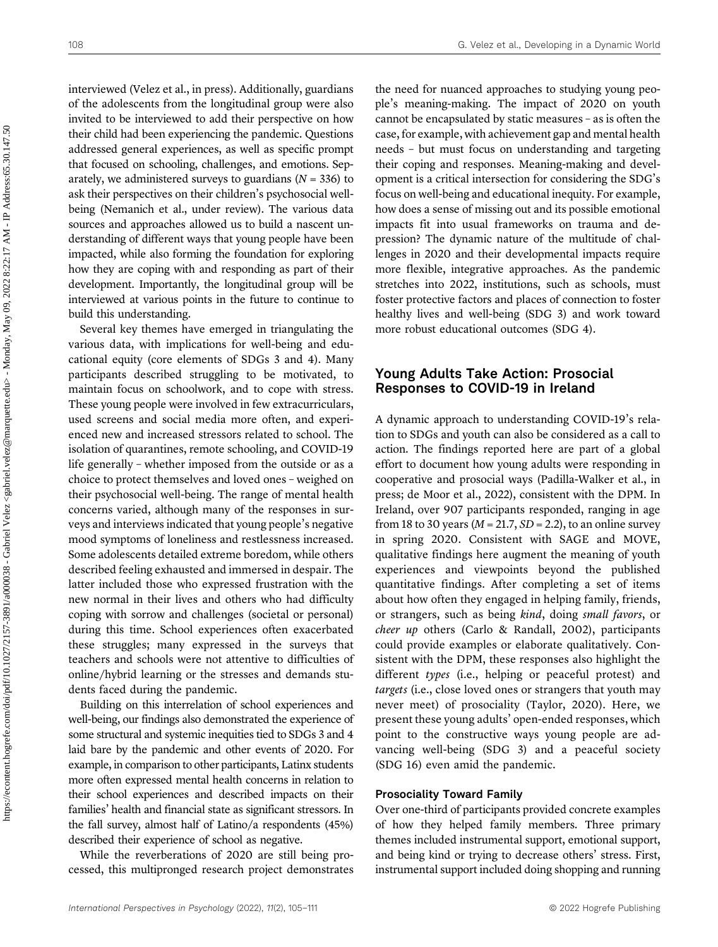interviewed (Velez et al., in press). Additionally, guardians of the adolescents from the longitudinal group were also invited to be interviewed to add their perspective on how their child had been experiencing the pandemic. Questions addressed general experiences, as well as specific prompt that focused on schooling, challenges, and emotions. Separately, we administered surveys to guardians ( $N = 336$ ) to ask their perspectives on their children's psychosocial wellbeing [\(Nemanich et al., under review](#page-5-9)). The various data sources and approaches allowed us to build a nascent understanding of different ways that young people have been impacted, while also forming the foundation for exploring how they are coping with and responding as part of their development. Importantly, the longitudinal group will be interviewed at various points in the future to continue to build this understanding.

Several key themes have emerged in triangulating the various data, with implications for well-being and educational equity (core elements of SDGs 3 and 4). Many participants described struggling to be motivated, to maintain focus on schoolwork, and to cope with stress. These young people were involved in few extracurriculars, used screens and social media more often, and experienced new and increased stressors related to school. The isolation of quarantines, remote schooling, and COVID-19 life generally – whether imposed from the outside or as a choice to protect themselves and loved ones – weighed on their psychosocial well-being. The range of mental health concerns varied, although many of the responses in surveys and interviews indicated that young people's negative mood symptoms of loneliness and restlessness increased. Some adolescents detailed extreme boredom, while others described feeling exhausted and immersed in despair. The latter included those who expressed frustration with the new normal in their lives and others who had difficulty coping with sorrow and challenges (societal or personal) during this time. School experiences often exacerbated these struggles; many expressed in the surveys that teachers and schools were not attentive to difficulties of online/hybrid learning or the stresses and demands students faced during the pandemic.

Building on this interrelation of school experiences and well-being, our findings also demonstrated the experience of some structural and systemic inequities tied to SDGs 3 and 4 laid bare by the pandemic and other events of 2020. For example, in comparison to other participants, Latinx students more often expressed mental health concerns in relation to their school experiences and described impacts on their families' health and financial state as significant stressors. In the fall survey, almost half of Latino/a respondents (45%) described their experience of school as negative.

While the reverberations of 2020 are still being processed, this multipronged research project demonstrates the need for nuanced approaches to studying young people's meaning-making. The impact of 2020 on youth cannot be encapsulated by static measures – as is often the case, for example, with achievement gap and mental health needs – but must focus on understanding and targeting their coping and responses. Meaning-making and development is a critical intersection for considering the SDG's focus on well-being and educational inequity. For example, how does a sense of missing out and its possible emotional impacts fit into usual frameworks on trauma and depression? The dynamic nature of the multitude of challenges in 2020 and their developmental impacts require more flexible, integrative approaches. As the pandemic stretches into 2022, institutions, such as schools, must foster protective factors and places of connection to foster healthy lives and well-being (SDG 3) and work toward more robust educational outcomes (SDG 4).

#### Young Adults Take Action: Prosocial Responses to COVID-19 in Ireland

A dynamic approach to understanding COVID-19's relation to SDGs and youth can also be considered as a call to action. The findings reported here are part of a global effort to document how young adults were responding in cooperative and prosocial ways [\(Padilla-Walker et al.,](#page-5-10) [in](#page-5-11) [press; de Moor et al., 2022](#page-5-11)), consistent with the DPM. In Ireland, over 907 participants responded, ranging in age from 18 to 30 years ( $M = 21.7$ ,  $SD = 2.2$ ), to an online survey in spring 2020. Consistent with SAGE and MOVE, qualitative findings here augment the meaning of youth experiences and viewpoints beyond the published quantitative findings. After completing a set of items about how often they engaged in helping family, friends, or strangers, such as being kind, doing small favors, or cheer up others ([Carlo & Randall, 2002\)](#page-5-12), participants could provide examples or elaborate qualitatively. Consistent with the DPM, these responses also highlight the different types (i.e., helping or peaceful protest) and targets (i.e., close loved ones or strangers that youth may never meet) of prosociality [\(Taylor, 2020\)](#page-6-1). Here, we present these young adults' open-ended responses, which point to the constructive ways young people are advancing well-being (SDG 3) and a peaceful society (SDG 16) even amid the pandemic.

#### Prosociality Toward Family

Over one-third of participants provided concrete examples of how they helped family members. Three primary themes included instrumental support, emotional support, and being kind or trying to decrease others' stress. First, instrumental support included doing shopping and running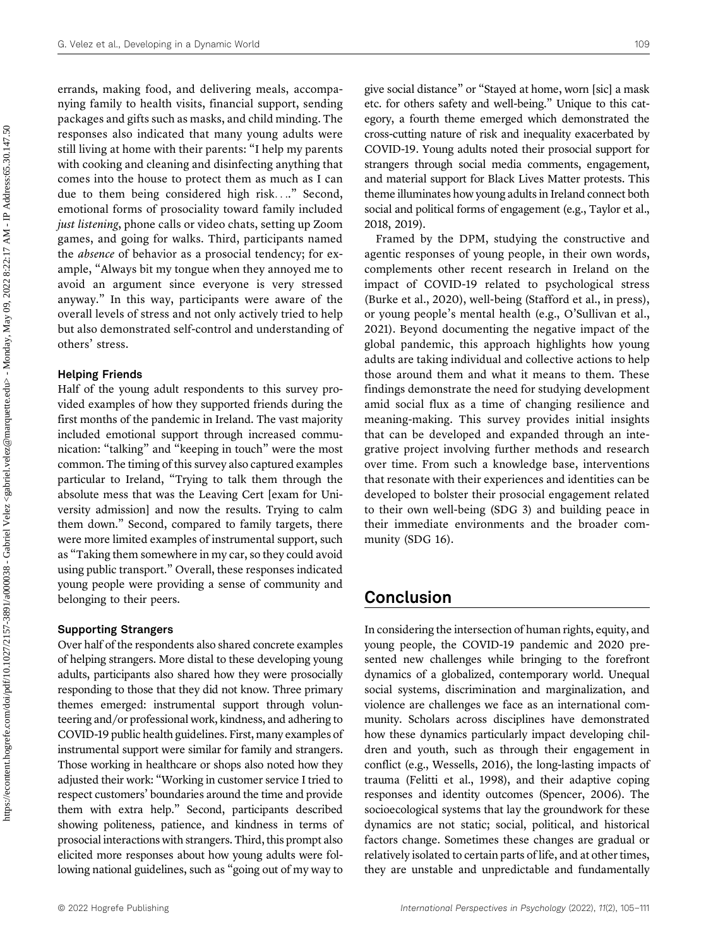errands, making food, and delivering meals, accompanying family to health visits, financial support, sending packages and gifts such as masks, and child minding. The responses also indicated that many young adults were still living at home with their parents: "I help my parents with cooking and cleaning and disinfecting anything that comes into the house to protect them as much as I can due to them being considered high risk...." Second, emotional forms of prosociality toward family included just listening, phone calls or video chats, setting up Zoom games, and going for walks. Third, participants named the absence of behavior as a prosocial tendency; for example, "Always bit my tongue when they annoyed me to avoid an argument since everyone is very stressed anyway." In this way, participants were aware of the overall levels of stress and not only actively tried to help but also demonstrated self-control and understanding of others' stress.

#### Helping Friends

Half of the young adult respondents to this survey provided examples of how they supported friends during the first months of the pandemic in Ireland. The vast majority included emotional support through increased communication: "talking" and "keeping in touch" were the most common. The timing of this survey also captured examples particular to Ireland, "Trying to talk them through the absolute mess that was the Leaving Cert [exam for University admission] and now the results. Trying to calm them down." Second, compared to family targets, there were more limited examples of instrumental support, such as "Taking them somewhere in my car, so they could avoid using public transport." Overall, these responses indicated young people were providing a sense of community and belonging to their peers.

#### Supporting Strangers

Over half of the respondents also shared concrete examples of helping strangers. More distal to these developing young adults, participants also shared how they were prosocially responding to those that they did not know. Three primary themes emerged: instrumental support through volunteering and/or professional work, kindness, and adhering to COVID-19 public health guidelines. First, many examples of instrumental support were similar for family and strangers. Those working in healthcare or shops also noted how they adjusted their work: "Working in customer service I tried to respect customers' boundaries around the time and provide them with extra help." Second, participants described showing politeness, patience, and kindness in terms of prosocial interactions with strangers. Third, this prompt also elicited more responses about how young adults were following national guidelines, such as "going out of my way to give social distance" or "Stayed at home, worn [sic] a mask etc. for others safety and well-being." Unique to this category, a fourth theme emerged which demonstrated the cross-cutting nature of risk and inequality exacerbated by COVID-19. Young adults noted their prosocial support for strangers through social media comments, engagement, and material support for Black Lives Matter protests. This theme illuminates how young adults in Ireland connect both social and political forms of engagement (e.g., [Taylor et al.,](#page-6-5) [2018,](#page-6-5) [2019](#page-6-6)).

Framed by the DPM, studying the constructive and agentic responses of young people, in their own words, complements other recent research in Ireland on the impact of COVID-19 related to psychological stress [\(Burke et al., 2020\)](#page-5-13), well-being ([Stafford et al., in press\)](#page-6-7), or young people's mental health (e.g., O'[Sullivan et al.,](#page-5-14) [2021](#page-5-14)). Beyond documenting the negative impact of the global pandemic, this approach highlights how young adults are taking individual and collective actions to help those around them and what it means to them. These findings demonstrate the need for studying development amid social flux as a time of changing resilience and meaning-making. This survey provides initial insights that can be developed and expanded through an integrative project involving further methods and research over time. From such a knowledge base, interventions that resonate with their experiences and identities can be developed to bolster their prosocial engagement related to their own well-being (SDG 3) and building peace in their immediate environments and the broader community (SDG 16).

## Conclusion

In considering the intersection of human rights, equity, and young people, the COVID-19 pandemic and 2020 presented new challenges while bringing to the forefront dynamics of a globalized, contemporary world. Unequal social systems, discrimination and marginalization, and violence are challenges we face as an international community. Scholars across disciplines have demonstrated how these dynamics particularly impact developing children and youth, such as through their engagement in conflict (e.g., [Wessells, 2016\)](#page-6-8), the long-lasting impacts of trauma [\(Felitti et al., 1998\)](#page-5-15), and their adaptive coping responses and identity outcomes [\(Spencer, 2006](#page-6-9)). The socioecological systems that lay the groundwork for these dynamics are not static; social, political, and historical factors change. Sometimes these changes are gradual or relatively isolated to certain parts of life, and at other times, they are unstable and unpredictable and fundamentally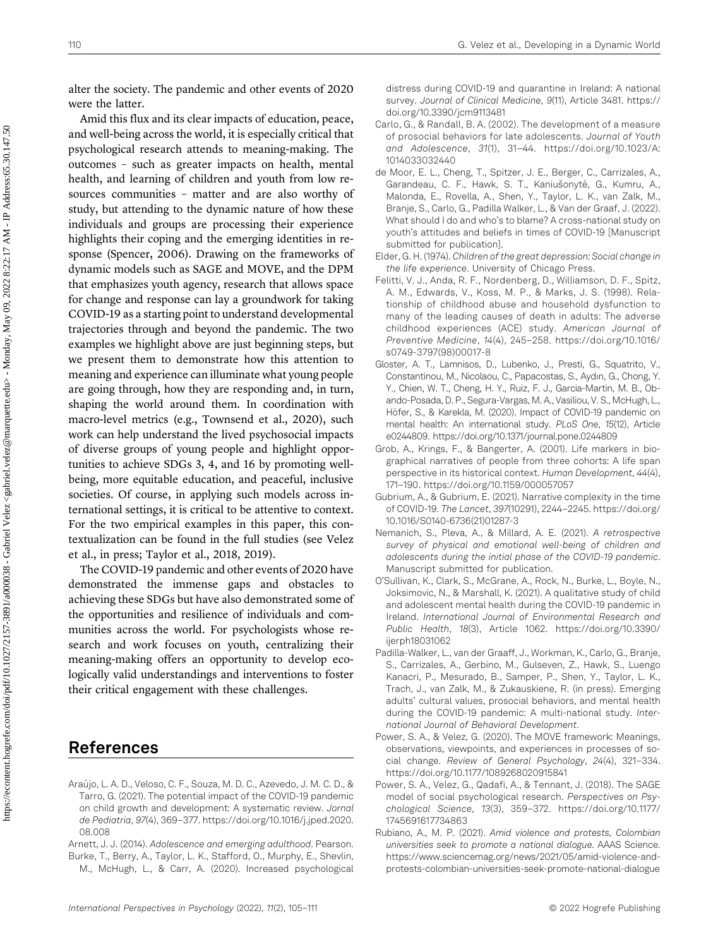alter the society. The pandemic and other events of 2020 were the latter.

Amid this flux and its clear impacts of education, peace, and well-being across the world, it is especially critical that psychological research attends to meaning-making. The outcomes – such as greater impacts on health, mental health, and learning of children and youth from low resources communities – matter and are also worthy of study, but attending to the dynamic nature of how these individuals and groups are processing their experience highlights their coping and the emerging identities in response ([Spencer, 2006](#page-6-9)). Drawing on the frameworks of dynamic models such as SAGE and MOVE, and the DPM that emphasizes youth agency, research that allows space for change and response can lay a groundwork for taking COVID-19 as a starting point to understand developmental trajectories through and beyond the pandemic. The two examples we highlight above are just beginning steps, but we present them to demonstrate how this attention to meaning and experience can illuminate what young people are going through, how they are responding and, in turn, shaping the world around them. In coordination with macro-level metrics (e.g., [Townsend et al., 2020\)](#page-6-10), such work can help understand the lived psychosocial impacts of diverse groups of young people and highlight opportunities to achieve SDGs 3, 4, and 16 by promoting wellbeing, more equitable education, and peaceful, inclusive societies. Of course, in applying such models across international settings, it is critical to be attentive to context. For the two empirical examples in this paper, this contextualization can be found in the full studies (see [Velez](#page-6-4) [et al., in press](#page-6-4); [Taylor et al., 2018,](#page-6-5) [2019\)](#page-6-6).

The COVID-19 pandemic and other events of 2020 have demonstrated the immense gaps and obstacles to achieving these SDGs but have also demonstrated some of the opportunities and resilience of individuals and communities across the world. For psychologists whose research and work focuses on youth, centralizing their meaning-making offers an opportunity to develop ecologically valid understandings and interventions to foster their critical engagement with these challenges.

## References

<span id="page-5-4"></span>Araújo, L. A. D., Veloso, C. F., Souza, M. D. C., Azevedo, J. M. C. D., & Tarro, G. (2021). The potential impact of the COVID-19 pandemic on child growth and development: A systematic review. Jornal de Pediatria, 97(4), 369–377. [https://doi.org/10.1016/j.jped.2020.](https://doi.org/10.1016/j.jped.2020.08.008) [08.008](https://doi.org/10.1016/j.jped.2020.08.008)

<span id="page-5-13"></span><span id="page-5-1"></span>Arnett, J. J. (2014). Adolescence and emerging adulthood. Pearson. Burke, T., Berry, A., Taylor, L. K., Stafford, O., Murphy, E., Shevlin, distress during COVID-19 and quarantine in Ireland: A national survey. Journal of Clinical Medicine, 9(11), Article 3481. [https://](https://doi.org/10.3390/jcm9113481) [doi.org/10.3390/jcm9113481](https://doi.org/10.3390/jcm9113481)

- <span id="page-5-12"></span>Carlo, G., & Randall, B. A. (2002). The development of a measure of prosocial behaviors for late adolescents. Journal of Youth and Adolescence, 31(1), 31–44. [https://doi.org/10.1023/A:](https://doi.org/10.1023/A:1014033032440) [1014033032440](https://doi.org/10.1023/A:1014033032440)
- <span id="page-5-11"></span>de Moor, E. L., Cheng, T., Spitzer, J. E., Berger, C., Carrizales, A., Garandeau, C. F., Hawk, S. T., Kaniušonyté, G., Kumru, A., Malonda, E., Rovella, A., Shen, Y., Taylor, L. K., van Zalk, M., Branje, S., Carlo, G., Padilla Walker, L., & Van der Graaf, J. (2022). What should I do and who's to blame? A cross-national study on youth's attitudes and beliefs in times of COVID-19 [Manuscript submitted for publication].
- <span id="page-5-6"></span>Elder, G. H. (1974). Children of the great depression: Social change in the life experience. University of Chicago Press.
- <span id="page-5-15"></span>Felitti, V. J., Anda, R. F., Nordenberg, D., Williamson, D. F., Spitz, A. M., Edwards, V., Koss, M. P., & Marks, J. S. (1998). Relationship of childhood abuse and household dysfunction to many of the leading causes of death in adults: The adverse childhood experiences (ACE) study. American Journal of Preventive Medicine, 14(4), 245–258. [https://doi.org/10.1016/](https://doi.org/10.1016/s0749-3797(98)00017-8) [s0749-3797\(98\)00017-8](https://doi.org/10.1016/s0749-3797(98)00017-8)
- <span id="page-5-0"></span>Gloster, A. T., Lamnisos, D., Lubenko, J., Presti, G., Squatrito, V., Constantinou, M., Nicolaou, C., Papacostas, S., Aydın, G., Chong, Y. Y., Chien, W. T., Cheng, H. Y., Ruiz, F. J., Garcia-Martin, M. B., Obando-Posada, D. P., Segura-Vargas, M. A., Vasiliou, V. S., McHugh, L., Höfer, S., & Karekla, M. (2020). Impact of COVID-19 pandemic on mental health: An international study. PLoS One, 15(12), Article e0244809.<https://doi.org/10.1371/journal.pone.0244809>
- <span id="page-5-8"></span>Grob, A., Krings, F., & Bangerter, A. (2001). Life markers in biographical narratives of people from three cohorts: A life span perspective in its historical context. Human Development, 44(4), 171–190.<https://doi.org/10.1159/000057057>
- <span id="page-5-7"></span>Gubrium, A., & Gubrium, E. (2021). Narrative complexity in the time of COVID-19. The Lancet, 397(10291), 2244–2245. [https://doi.org/](https://doi.org/10.1016/S0140-6736(21)01287-3) [10.1016/S0140-6736\(21\)01287-3](https://doi.org/10.1016/S0140-6736(21)01287-3)
- <span id="page-5-9"></span>Nemanich, S., Pleva, A., & Millard, A. E. (2021). A retrospective survey of physical and emotional well-being of children and adolescents during the initial phase of the COVID-19 pandemic. Manuscript submitted for publication.
- <span id="page-5-14"></span>O'Sullivan, K., Clark, S., McGrane, A., Rock, N., Burke, L., Boyle, N., Joksimovic, N., & Marshall, K. (2021). A qualitative study of child and adolescent mental health during the COVID-19 pandemic in Ireland. International Journal of Environmental Research and Public Health, 18(3), Article 1062. [https://doi.org/10.3390/](https://doi.org/10.3390/ijerph18031062) [ijerph18031062](https://doi.org/10.3390/ijerph18031062)
- <span id="page-5-10"></span>Padilla-Walker, L., van der Graaff, J., Workman, K., Carlo, G., Branje, S., Carrizales, A., Gerbino, M., Gulseven, Z., Hawk, S., Luengo Kanacri, P., Mesurado, B., Samper, P., Shen, Y., Taylor, L. K., Trach, J., van Zalk, M., & Zukauskiene, R. (in press). Emerging adults' cultural values, prosocial behaviors, and mental health during the COVID-19 pandemic: A multi-national study. International Journal of Behavioral Development.
- <span id="page-5-2"></span>Power, S. A., & Velez, G. (2020). The MOVE framework: Meanings, observations, viewpoints, and experiences in processes of social change. Review of General Psychology, 24(4), 321–334. <https://doi.org/10.1177/1089268020915841>
- <span id="page-5-3"></span>Power, S. A., Velez, G., Qadafi, A., & Tennant, J. (2018). The SAGE model of social psychological research. Perspectives on Psychological Science, 13(3), 359–372. [https://doi.org/10.1177/](https://doi.org/10.1177/1745691617734863) [1745691617734863](https://doi.org/10.1177/1745691617734863)
- <span id="page-5-5"></span>Rubiano, A., M. P. (2021). Amid violence and protests, Colombian universities seek to promote a national dialogue. AAAS Science. [https://www.sciencemag.org/news/2021/05/amid-violence-and](https://www.sciencemag.org/news/2021/05/amid-violence-and-protests-colombian-universities-seek-promote-national-dialogue)[protests-colombian-universities-seek-promote-national-dialogue](https://www.sciencemag.org/news/2021/05/amid-violence-and-protests-colombian-universities-seek-promote-national-dialogue)

M., McHugh, L., & Carr, A. (2020). Increased psychological